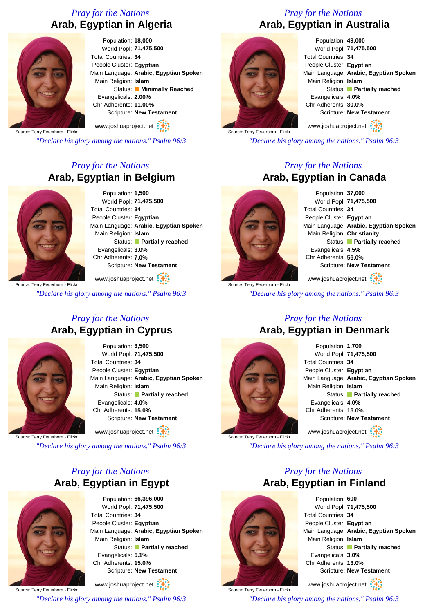## *Pray for the Nations* **Arab, Egyptian in Algeria**



Population: **18,000** World Popl: **71,475,500** Total Countries: **34** People Cluster: **Egyptian** Main Language: **Arabic, Egyptian Spoken** Main Religion: **Islam** Status: **Minimally Reached** Evangelicals: **2.00%** Chr Adherents: **11.00%** Scripture: **New Testament**

Source: Terry Feuerborn - Flickr www.joshuaproject.net

*"Declare his glory among the nations." Psalm 96:3*

## *Pray for the Nations* **Arab, Egyptian in Belgium**



Population: **1,500** World Popl: **71,475,500** Total Countries: **34** People Cluster: **Egyptian** Main Language: **Arabic, Egyptian Spoken** Main Religion: **Islam** Status: **Partially reached** Evangelicals: **3.0%** Chr Adherents: **7.0%** Scripture: **New Testament**

Source: Terry Feuerborn - Flickr www.joshuaproject.net

*"Declare his glory among the nations." Psalm 96:3*

#### *Pray for the Nations* **Arab, Egyptian in Cyprus**



Population: **3,500** World Popl: **71,475,500** Total Countries: **34** People Cluster: **Egyptian** Main Language: **Arabic, Egyptian Spoken** Main Religion: **Islam** Status: **Partially reached** Evangelicals: **4.0%** Chr Adherents: **15.0%** Scripture: **New Testament**

www.joshuaproject.net

Source: Terry Feuerborn - Flickr

*"Declare his glory among the nations." Psalm 96:3*

## *Pray for the Nations* **Arab, Egyptian in Egypt**



Population: **66,396,000** World Popl: **71,475,500** Total Countries: **34** People Cluster: **Egyptian** Main Language: **Arabic, Egyptian Spoken** Main Religion: **Islam** Status: **Partially reached** Evangelicals: **5.1%** Chr Adherents: **15.0%** Scripture: **New Testament**

Source: Terry Feuerborn - Flickr www.joshuaproject.net *"Declare his glory among the nations." Psalm 96:3*

## *Pray for the Nations* **Arab, Egyptian in Australia**



Population: **49,000** World Popl: **71,475,500** Total Countries: **34** People Cluster: **Egyptian** Main Language: **Arabic, Egyptian Spoken** Main Religion: **Islam** Status: **Partially reached** Evangelicals: **4.0%** Chr Adherents: **30.0%** Scripture: **New Testament**

www.joshuaproject.net

*"Declare his glory among the nations." Psalm 96:3*

## *Pray for the Nations* **Arab, Egyptian in Canada**



Population: **37,000** World Popl: **71,475,500** Total Countries: **34** People Cluster: **Egyptian** Main Language: **Arabic, Egyptian Spoken** Main Religion: **Christianity** Status: **Partially reached** Evangelicals: **4.5%** Chr Adherents: **56.0%** Scripture: **New Testament**

www.joshuaproject.net

*"Declare his glory among the nations." Psalm 96:3*

#### *Pray for the Nations* **Arab, Egyptian in Denmark**



Population: **1,700** World Popl: **71,475,500** Total Countries: **34** People Cluster: **Egyptian** Main Language: **Arabic, Egyptian Spoken** Main Religion: **Islam** Status: **Partially reached** Evangelicals: **4.0%** Chr Adherents: **15.0%** Scripture: **New Testament** www.joshuaproject.net

Source: Terry Feuerborn - Flickr

*"Declare his glory among the nations." Psalm 96:3*

## *Pray for the Nations* **Arab, Egyptian in Finland**



Source: Terry Feuerborn - Flickr

Population: **600** World Popl: **71,475,500** Total Countries: **34** People Cluster: **Egyptian** Main Language: **Arabic, Egyptian Spoken** Main Religion: **Islam** Status: **Partially reached** Evangelicals: **3.0%** Chr Adherents: **13.0%** Scripture: **New Testament**

www.joshuaproject.net

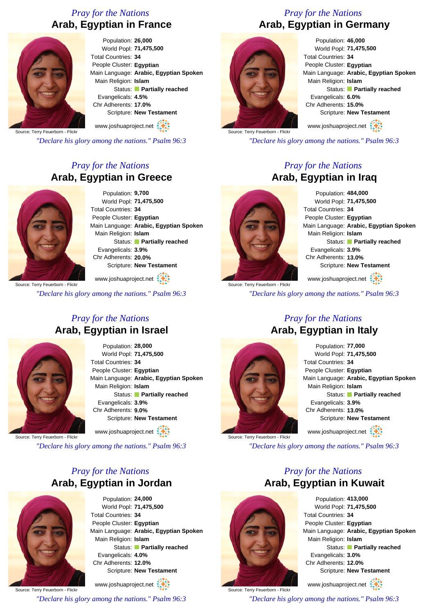## *Pray for the Nations* **Arab, Egyptian in France**



Population: **26,000** World Popl: **71,475,500** Total Countries: **34** People Cluster: **Egyptian** Main Language: **Arabic, Egyptian Spoken** Main Religion: **Islam** Status: **Partially reached** Evangelicals: **4.5%** Chr Adherents: **17.0%** Scripture: **New Testament**

www.joshuaproject.net

Source: Terry Feuerborn - Flickr

*"Declare his glory among the nations." Psalm 96:3*

## *Pray for the Nations* **Arab, Egyptian in Greece**



Population: **9,700** World Popl: **71,475,500** Total Countries: **34** People Cluster: **Egyptian** Main Language: **Arabic, Egyptian Spoken** Main Religion: **Islam** Status: **Partially reached** Evangelicals: **3.9%** Chr Adherents: **20.0%** Scripture: **New Testament**

www.joshuaproject.net

*"Declare his glory among the nations." Psalm 96:3*

## *Pray for the Nations* **Arab, Egyptian in Israel**



Population: **28,000** World Popl: **71,475,500** Total Countries: **34** People Cluster: **Egyptian** Main Language: **Arabic, Egyptian Spoken** Main Religion: **Islam** Status: **Partially reached** Evangelicals: **3.9%** Chr Adherents: **9.0%** Scripture: **New Testament**

www.joshuaproject.net

Source: Terry Feuerborn - Flickr

*"Declare his glory among the nations." Psalm 96:3*

## *Pray for the Nations* **Arab, Egyptian in Jordan**



Population: **24,000** World Popl: **71,475,500** Total Countries: **34** People Cluster: **Egyptian** Main Language: **Arabic, Egyptian Spoken** Main Religion: **Islam** Status: **Partially reached** Evangelicals: **4.0%** Chr Adherents: **12.0%** Scripture: **New Testament**

Source: Terry Feuerborn - Flickr www.joshuaproject.net *"Declare his glory among the nations." Psalm 96:3*

## *Pray for the Nations* **Arab, Egyptian in Germany**



Population: **46,000** World Popl: **71,475,500** Total Countries: **34** People Cluster: **Egyptian** Main Language: **Arabic, Egyptian Spoken** Main Religion: **Islam** Status: **Partially reached** Evangelicals: **6.0%** Chr Adherents: **15.0%** Scripture: **New Testament** www.joshuaproject.net

Source: Terry Feuerborn - Flickr

*"Declare his glory among the nations." Psalm 96:3*

## *Pray for the Nations* **Arab, Egyptian in Iraq**



Population: **484,000** World Popl: **71,475,500** Total Countries: **34** People Cluster: **Egyptian** Main Language: **Arabic, Egyptian Spoken** Main Religion: **Islam** Status: **Partially reached** Evangelicals: **3.9%** Chr Adherents: **13.0%** Scripture: **New Testament**

Source: Terry Feuerborn - Flickr www.joshuaproject.net

*"Declare his glory among the nations." Psalm 96:3*



Source: Terry Feuerborn - Flickr

## *Pray for the Nations* **Arab, Egyptian in Italy**

Population: **77,000** World Popl: **71,475,500** Total Countries: **34** People Cluster: **Egyptian** Main Language: **Arabic, Egyptian Spoken** Main Religion: **Islam** Status: **Partially reached** Evangelicals: **3.9%** Chr Adherents: **13.0%** Scripture: **New Testament** www.joshuaproject.net

Source: Terry Feuerborn - Flickr

*"Declare his glory among the nations." Psalm 96:3*

## *Pray for the Nations* **Arab, Egyptian in Kuwait**



www.joshuaproject.net

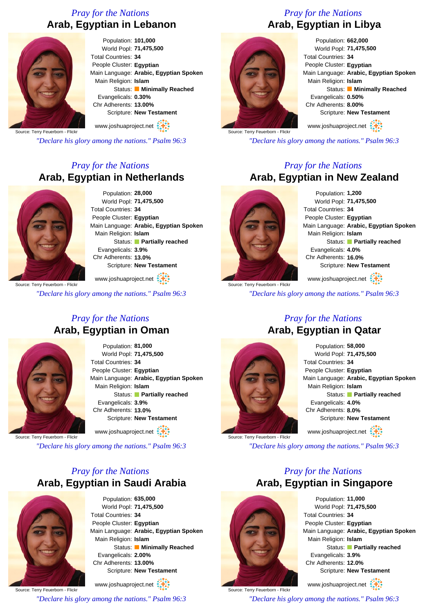## *Pray for the Nations* **Arab, Egyptian in Lebanon**



Population: **101,000** World Popl: **71,475,500** Total Countries: **34** People Cluster: **Egyptian** Main Language: **Arabic, Egyptian Spoken** Main Religion: **Islam** Status: **Minimally Reached** Evangelicals: **0.30%** Chr Adherents: **13.00%** Scripture: **New Testament**

Source: Terry Feuerborn - Flickr www.joshuaproject.net

*"Declare his glory among the nations." Psalm 96:3*

## *Pray for the Nations* **Arab, Egyptian in Netherlands**



Population: **28,000** World Popl: **71,475,500** Total Countries: **34** People Cluster: **Egyptian** Main Language: **Arabic, Egyptian Spoken** Main Religion: **Islam** Status: **Partially reached** Evangelicals: **3.9%** Chr Adherents: **13.0%** Scripture: **New Testament**

www.joshuaproject.net

*"Declare his glory among the nations." Psalm 96:3*

## *Pray for the Nations* **Arab, Egyptian in Oman**



Population: **81,000** World Popl: **71,475,500** Total Countries: **34** People Cluster: **Egyptian** Main Language: **Arabic, Egyptian Spoken** Main Religion: **Islam** Status: **Partially reached** Evangelicals: **3.9%** Chr Adherents: **13.0%** Scripture: **New Testament**

www.joshuaproject.net

Source: Terry Feuerborn - Flickr

*"Declare his glory among the nations." Psalm 96:3*

## *Pray for the Nations* **Arab, Egyptian in Saudi Arabia**



Population: **635,000** World Popl: **71,475,500** Total Countries: **34** People Cluster: **Egyptian** Main Language: **Arabic, Egyptian Spoken** Main Religion: **Islam** Status: **Minimally Reached** Evangelicals: **2.00%** Chr Adherents: **13.00%** Scripture: **New Testament**

Source: Terry Feuerborn - Flickr www.joshuaproject.net *"Declare his glory among the nations." Psalm 96:3*

## *Pray for the Nations* **Arab, Egyptian in Libya**



Population: **662,000** World Popl: **71,475,500** Total Countries: **34** People Cluster: **Egyptian** Main Language: **Arabic, Egyptian Spoken** Main Religion: **Islam** Status: **Minimally Reached** Evangelicals: **0.50%** Chr Adherents: **8.00%** Scripture: **New Testament** www.joshuaproject.net

Source: Terry Feuerborn - Flickr

*"Declare his glory among the nations." Psalm 96:3*

#### *Pray for the Nations* **Arab, Egyptian in New Zealand**



Population: **1,200** World Popl: **71,475,500** Total Countries: **34** People Cluster: **Egyptian** Main Language: **Arabic, Egyptian Spoken** Main Religion: **Islam** Status: **Partially reached** Evangelicals: **4.0%** Chr Adherents: **16.0%** Scripture: **New Testament**

Source: Terry Feuerborn - Flickr www.joshuaproject.net

*"Declare his glory among the nations." Psalm 96:3*



## *Pray for the Nations* **Arab, Egyptian in Qatar**

Population: **58,000** World Popl: **71,475,500** Total Countries: **34** People Cluster: **Egyptian** Main Language: **Arabic, Egyptian Spoken** Main Religion: **Islam** Status: **Partially reached** Evangelicals: **4.0%** Chr Adherents: **8.0%** Scripture: **New Testament** www.joshuaproject.net

Source: Terry Feuerborn - Flickr

*"Declare his glory among the nations." Psalm 96:3*

## *Pray for the Nations* **Arab, Egyptian in Singapore**



Source: Terry Feuerborn - Flickr

Population: **11,000** World Popl: **71,475,500** Total Countries: **34** People Cluster: **Egyptian** Main Language: **Arabic, Egyptian Spoken** Main Religion: **Islam** Status: **Partially reached** Evangelicals: **3.9%** Chr Adherents: **12.0%** Scripture: **New Testament**

www.joshuaproject.net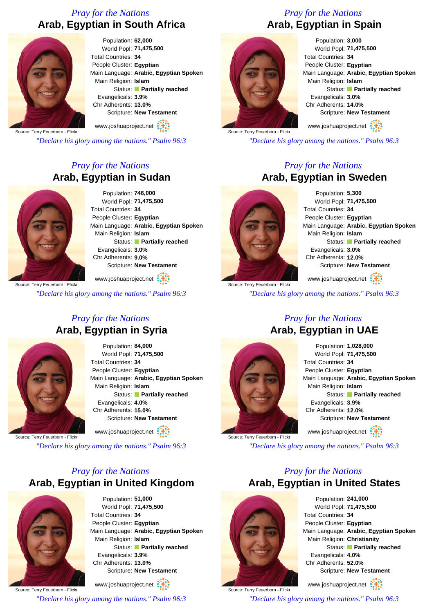## *Pray for the Nations* **Arab, Egyptian in South Africa**



Population: **62,000** World Popl: **71,475,500** Total Countries: **34** People Cluster: **Egyptian** Main Language: **Arabic, Egyptian Spoken** Main Religion: **Islam** Status: **Partially reached** Evangelicals: **3.9%** Chr Adherents: **13.0%** Scripture: **New Testament**

Source: Terry Feuerborn - Flickr www.joshuaproject.net

*"Declare his glory among the nations." Psalm 96:3*

## *Pray for the Nations* **Arab, Egyptian in Sudan**



Population: **746,000** World Popl: **71,475,500** Total Countries: **34** People Cluster: **Egyptian** Main Language: **Arabic, Egyptian Spoken** Main Religion: **Islam** Status: **Partially reached** Evangelicals: **3.0%** Chr Adherents: **9.0%** Scripture: **New Testament**

www.joshuaproject.net

*"Declare his glory among the nations." Psalm 96:3*

## *Pray for the Nations* **Arab, Egyptian in Syria**



Population: **84,000** World Popl: **71,475,500** Total Countries: **34** People Cluster: **Egyptian** Main Language: **Arabic, Egyptian Spoken** Main Religion: **Islam** Status: **Partially reached** Evangelicals: **4.0%** Chr Adherents: **15.0%** Scripture: **New Testament**

www.joshuaproject.net

Source: Terry Feuerborn - Flickr

*"Declare his glory among the nations." Psalm 96:3*

## *Pray for the Nations* **Arab, Egyptian in United Kingdom**



Population: **51,000** World Popl: **71,475,500** Total Countries: **34** People Cluster: **Egyptian** Main Language: **Arabic, Egyptian Spoken** Main Religion: **Islam** Status: **Partially reached** Evangelicals: **3.9%** Chr Adherents: **13.0%** Scripture: **New Testament**

Source: Terry Feuerborn - Flickr www.joshuaproject.net *"Declare his glory among the nations." Psalm 96:3*

## *Pray for the Nations* **Arab, Egyptian in Spain**



Population: **3,000** World Popl: **71,475,500** Total Countries: **34** People Cluster: **Egyptian** Main Language: **Arabic, Egyptian Spoken** Main Religion: **Islam** Status: **Partially reached** Evangelicals: **3.0%** Chr Adherents: **14.0%** Scripture: **New Testament** www.joshuaproject.net

Source: Terry Feuerborn - Flickr

*"Declare his glory among the nations." Psalm 96:3*

## *Pray for the Nations* **Arab, Egyptian in Sweden**



Source: Terry Feuerborn - Flickr

Population: **5,300** World Popl: **71,475,500** Total Countries: **34** People Cluster: **Egyptian** Main Language: **Arabic, Egyptian Spoken** Main Religion: **Islam** Status: **Partially reached** Evangelicals: **3.0%** Chr Adherents: **12.0%** Scripture: **New Testament**

www.joshuaproject.net

*"Declare his glory among the nations." Psalm 96:3*



## *Pray for the Nations*

Population: **1,028,000** World Popl: **71,475,500** Total Countries: **34** People Cluster: **Egyptian** Main Language: **Arabic, Egyptian Spoken** Main Religion: **Islam** Status: **Partially reached** Evangelicals: **3.9%** Chr Adherents: **12.0%** Scripture: **New Testament** www.joshuaproject.net

Source: Terry Feuerborn - Flickr

*"Declare his glory among the nations." Psalm 96:3*

## *Pray for the Nations* **Arab, Egyptian in United States**



Source: Terry Feuerborn - Flickr

Population: **241,000** World Popl: **71,475,500** Total Countries: **34** People Cluster: **Egyptian** Main Language: **Arabic, Egyptian Spoken** Main Religion: **Christianity** Status: **Partially reached** Evangelicals: **4.0%** Chr Adherents: **52.0%** Scripture: **New Testament**

www.joshuaproject.net

*"Declare his glory among the nations." Psalm 96:3*

# **Arab, Egyptian in UAE**